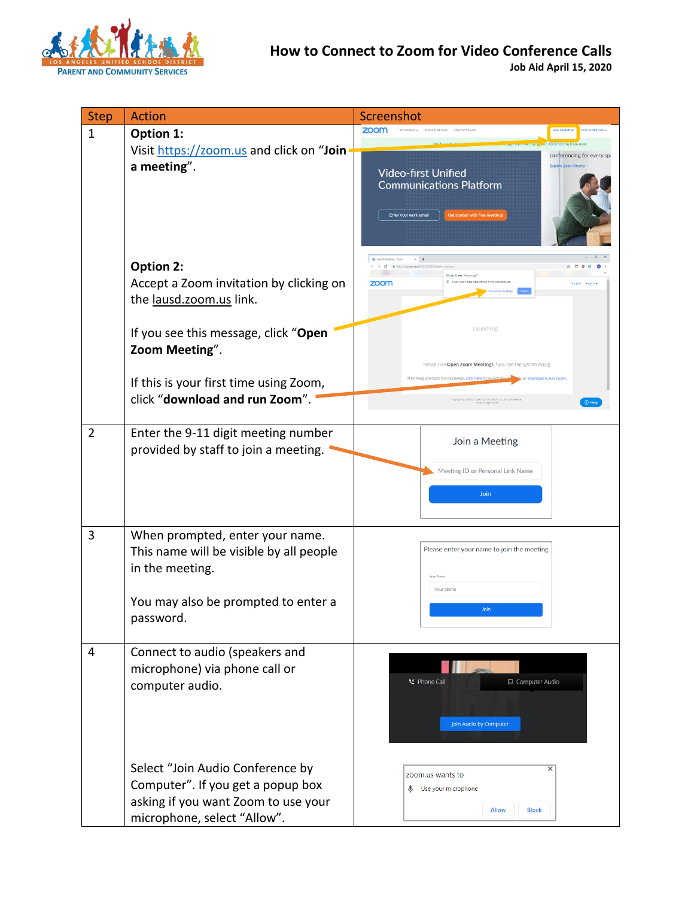

| <b>Step</b>    | <b>Action</b>                                                                                                                                     | Screenshot                                                                                                                                                                                                                                                   |
|----------------|---------------------------------------------------------------------------------------------------------------------------------------------------|--------------------------------------------------------------------------------------------------------------------------------------------------------------------------------------------------------------------------------------------------------------|
| $\mathbf 1$    | Option 1:<br>Visit https://zoom.us and click on "Join<br>a meeting".                                                                              | zoom<br>SOLUTIONS . PLANS & PRICING<br><b>JOIN A MEETING</b><br>HOST A MEETING<br>conferencing for every spa<br>Explore Zoom Rooms<br><b>Video-first Unified</b><br><b>Communications Platform</b><br>Enter your work email<br>Get started with free meeting |
|                | Option 2:<br>Accept a Zoom invitation by clicking on<br>the lausd.zoom.us link.                                                                   | <b>Cloen Zoom Meetings</b><br>Always open these types of links in the ass<br>zoom                                                                                                                                                                            |
|                | If you see this message, click "Open<br>Zoom Meeting".<br>If this is your first time using Zoom,<br>click "download and run Zoom".                | Launching<br>Please click Open Zoom Meetings if you see the system dialog.<br>If nothing prompts from browser, click here to launch the me<br>Privacy & Legal Policies<br>$①$ Hel                                                                            |
| $\overline{2}$ | Enter the 9-11 digit meeting number<br>provided by staff to join a meeting.                                                                       | Join a Meeting<br>Meeting ID or Personal Link Name<br>Join                                                                                                                                                                                                   |
| 3              | When prompted, enter your name.<br>This name will be visible by all people<br>in the meeting.<br>You may also be prompted to enter a<br>password. | Please enter your name to join the meeting<br>Your Name                                                                                                                                                                                                      |
| 4              | Connect to audio (speakers and<br>microphone) via phone call or<br>computer audio.                                                                | <b>ビ</b> Phone Call<br>Computer Audio<br>Join Audio by Computer                                                                                                                                                                                              |
|                | Select "Join Audio Conference by<br>Computer". If you get a popup box<br>asking if you want Zoom to use your<br>microphone, select "Allow".       | ×<br>zoom.us wants to<br>Use your microphone<br><b>Allow</b><br><b>Block</b>                                                                                                                                                                                 |